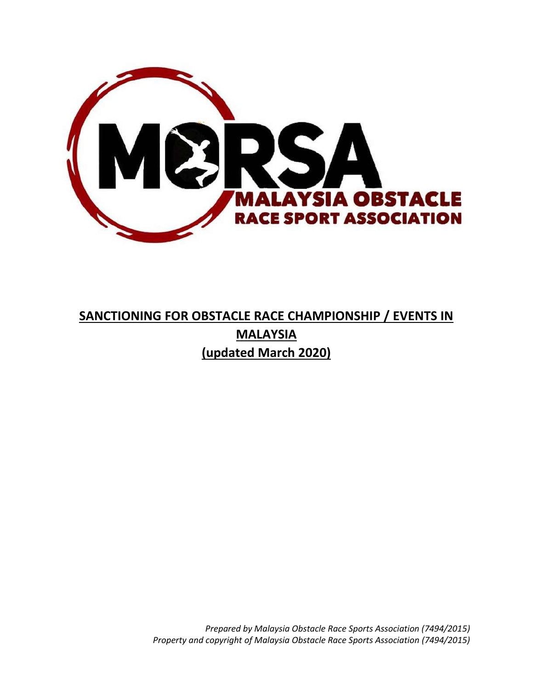

# **SANCTIONING FOR OBSTACLE RACE CHAMPIONSHIP / EVENTS IN MALAYSIA (updated March 2020)**

*Prepared by Malaysia Obstacle Race Sports Association (7494/2015) Property and copyright of Malaysia Obstacle Race Sports Association (7494/2015)*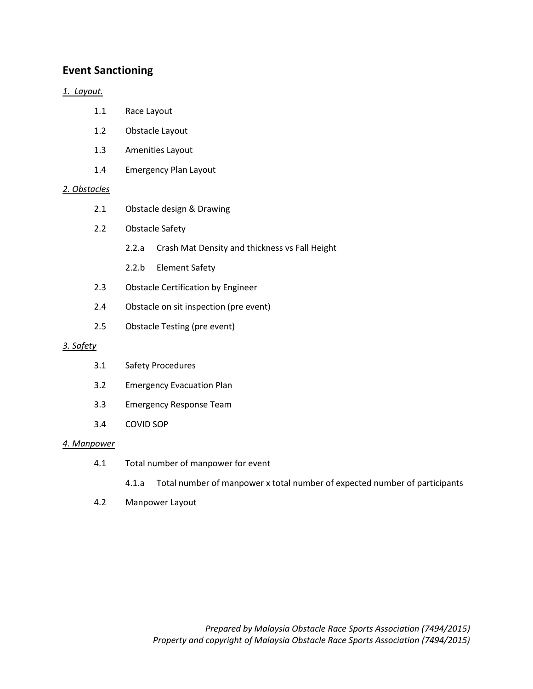## **Event Sanctioning**

### *1. Layout.*

- 1.1 Race Layout
- 1.2 Obstacle Layout
- 1.3 Amenities Layout
- 1.4 Emergency Plan Layout

#### *2. Obstacles*

- 2.1 Obstacle design & Drawing
- 2.2 Obstacle Safety
	- 2.2.a Crash Mat Density and thickness vs Fall Height
	- 2.2.b Element Safety
- 2.3 Obstacle Certification by Engineer
- 2.4 Obstacle on sit inspection (pre event)
- 2.5 Obstacle Testing (pre event)

#### *3. Safety*

- 3.1 Safety Procedures
- 3.2 Emergency Evacuation Plan
- 3.3 Emergency Response Team
- 3.4 COVID SOP

#### *4. Manpower*

- 4.1 Total number of manpower for event
	- 4.1.a Total number of manpower x total number of expected number of participants
- 4.2 Manpower Layout